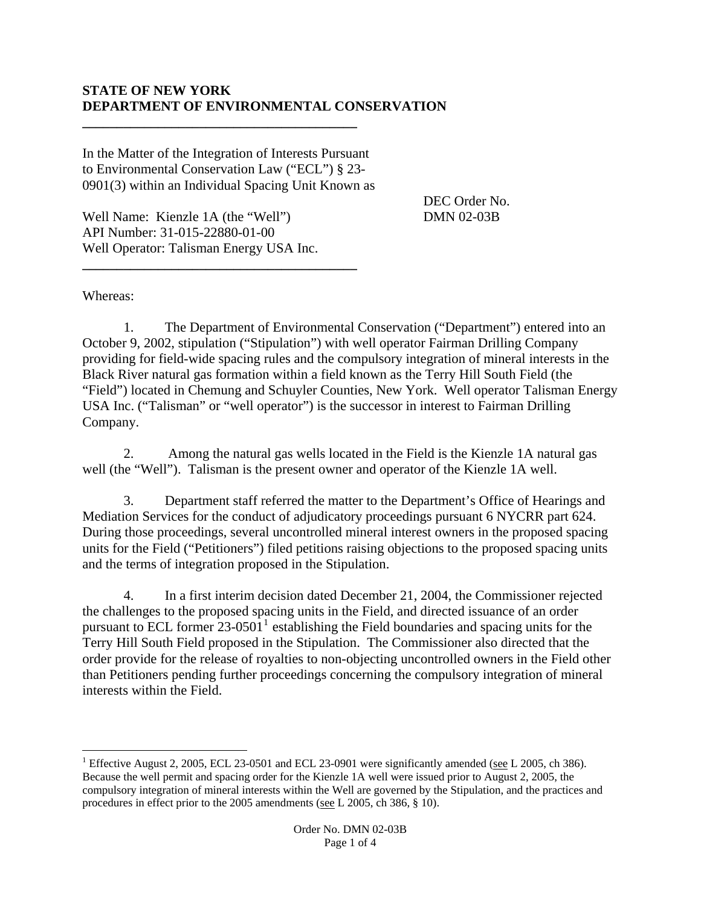## **STATE OF NEW YORK DEPARTMENT OF ENVIRONMENTAL CONSERVATION**

In the Matter of the Integration of Interests Pursuant to Environmental Conservation Law ("ECL") § 23- 0901(3) within an Individual Spacing Unit Known as

**\_\_\_\_\_\_\_\_\_\_\_\_\_\_\_\_\_\_\_\_\_\_\_\_\_\_\_\_\_\_\_\_\_\_\_\_\_\_\_\_** 

**\_\_\_\_\_\_\_\_\_\_\_\_\_\_\_\_\_\_\_\_\_\_\_\_\_\_\_\_\_\_\_\_\_\_\_\_\_\_\_\_** 

DEC Order No. DMN 02-03B

Well Name: Kienzle 1A (the "Well") API Number: 31-015-22880-01-00 Well Operator: Talisman Energy USA Inc.

Whereas:

 $\overline{a}$ 

 1. The Department of Environmental Conservation ("Department") entered into an October 9, 2002, stipulation ("Stipulation") with well operator Fairman Drilling Company providing for field-wide spacing rules and the compulsory integration of mineral interests in the Black River natural gas formation within a field known as the Terry Hill South Field (the "Field") located in Chemung and Schuyler Counties, New York. Well operator Talisman Energy USA Inc. ("Talisman" or "well operator") is the successor in interest to Fairman Drilling Company.

 2. Among the natural gas wells located in the Field is the Kienzle 1A natural gas well (the "Well"). Talisman is the present owner and operator of the Kienzle 1A well.

 3. Department staff referred the matter to the Department's Office of Hearings and Mediation Services for the conduct of adjudicatory proceedings pursuant 6 NYCRR part 624. During those proceedings, several uncontrolled mineral interest owners in the proposed spacing units for the Field ("Petitioners") filed petitions raising objections to the proposed spacing units and the terms of integration proposed in the Stipulation.

 4. In a first interim decision dated December 21, 2004, the Commissioner rejected the challenges to the proposed spacing units in the Field, and directed issuance of an order pursuant to ECL former  $23{\text -}0501^1$  $23{\text -}0501^1$  $23{\text -}0501^1$  establishing the Field boundaries and spacing units for the Terry Hill South Field proposed in the Stipulation. The Commissioner also directed that the order provide for the release of royalties to non-objecting uncontrolled owners in the Field other than Petitioners pending further proceedings concerning the compulsory integration of mineral interests within the Field.

<span id="page-0-0"></span><sup>&</sup>lt;sup>1</sup> Effective August 2, 2005, ECL 23-0501 and ECL 23-0901 were significantly amended (see L 2005, ch 386). Because the well permit and spacing order for the Kienzle 1A well were issued prior to August 2, 2005, the compulsory integration of mineral interests within the Well are governed by the Stipulation, and the practices and procedures in effect prior to the 2005 amendments (see L 2005, ch 386, § 10).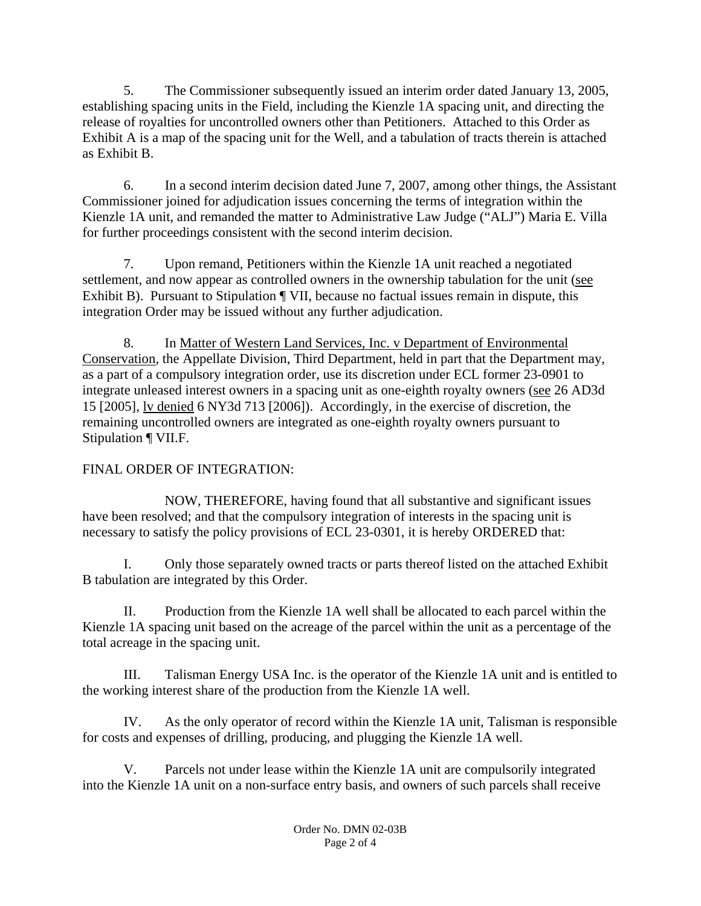5. The Commissioner subsequently issued an interim order dated January 13, 2005, establishing spacing units in the Field, including the Kienzle 1A spacing unit, and directing the release of royalties for uncontrolled owners other than Petitioners. Attached to this Order as Exhibit A is a map of the spacing unit for the Well, and a tabulation of tracts therein is attached as Exhibit B.

 6. In a second interim decision dated June 7, 2007, among other things, the Assistant Commissioner joined for adjudication issues concerning the terms of integration within the Kienzle 1A unit, and remanded the matter to Administrative Law Judge ("ALJ") Maria E. Villa for further proceedings consistent with the second interim decision.

 7. Upon remand, Petitioners within the Kienzle 1A unit reached a negotiated settlement, and now appear as controlled owners in the ownership tabulation for the unit (see Exhibit B). Pursuant to Stipulation ¶ VII, because no factual issues remain in dispute, this integration Order may be issued without any further adjudication.

 8. In Matter of Western Land Services, Inc. v Department of Environmental Conservation, the Appellate Division, Third Department, held in part that the Department may, as a part of a compulsory integration order, use its discretion under ECL former 23-0901 to integrate unleased interest owners in a spacing unit as one-eighth royalty owners (see 26 AD3d 15 [2005], lv denied 6 NY3d 713 [2006]). Accordingly, in the exercise of discretion, the remaining uncontrolled owners are integrated as one-eighth royalty owners pursuant to Stipulation ¶ VII.F.

## FINAL ORDER OF INTEGRATION:

 NOW, THEREFORE, having found that all substantive and significant issues have been resolved; and that the compulsory integration of interests in the spacing unit is necessary to satisfy the policy provisions of ECL 23-0301, it is hereby ORDERED that:

 I. Only those separately owned tracts or parts thereof listed on the attached Exhibit B tabulation are integrated by this Order.

 II. Production from the Kienzle 1A well shall be allocated to each parcel within the Kienzle 1A spacing unit based on the acreage of the parcel within the unit as a percentage of the total acreage in the spacing unit.

 III. Talisman Energy USA Inc. is the operator of the Kienzle 1A unit and is entitled to the working interest share of the production from the Kienzle 1A well.

 IV. As the only operator of record within the Kienzle 1A unit, Talisman is responsible for costs and expenses of drilling, producing, and plugging the Kienzle 1A well.

 V. Parcels not under lease within the Kienzle 1A unit are compulsorily integrated into the Kienzle 1A unit on a non-surface entry basis, and owners of such parcels shall receive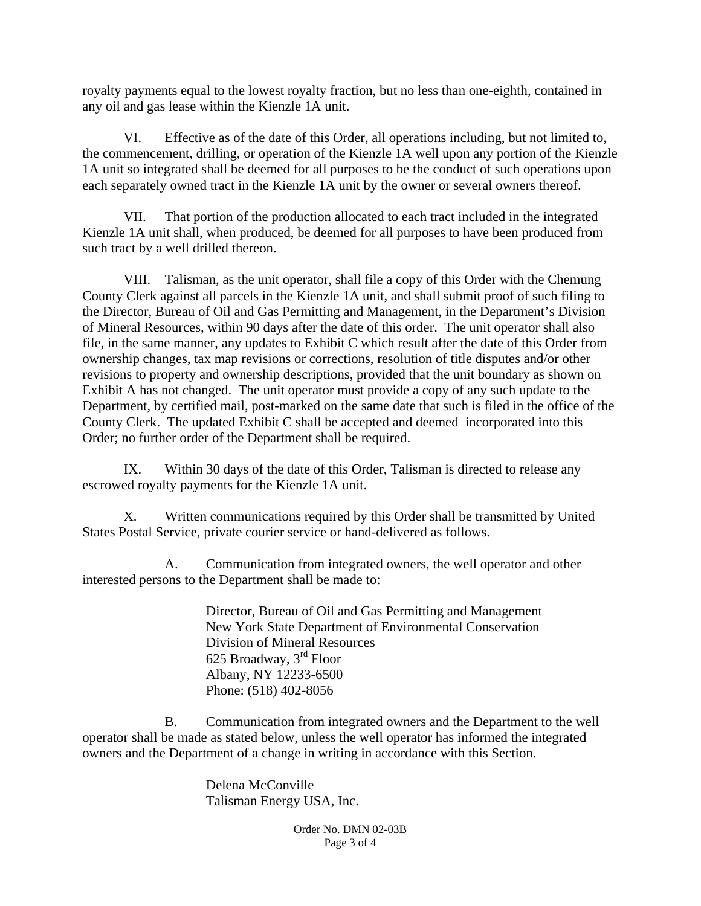royalty payments equal to the lowest royalty fraction, but no less than one-eighth, contained in any oil and gas lease within the Kienzle 1A unit.

 VI. Effective as of the date of this Order, all operations including, but not limited to, the commencement, drilling, or operation of the Kienzle 1A well upon any portion of the Kienzle 1A unit so integrated shall be deemed for all purposes to be the conduct of such operations upon each separately owned tract in the Kienzle 1A unit by the owner or several owners thereof.

 VII. That portion of the production allocated to each tract included in the integrated Kienzle 1A unit shall, when produced, be deemed for all purposes to have been produced from such tract by a well drilled thereon.

 VIII. Talisman, as the unit operator, shall file a copy of this Order with the Chemung County Clerk against all parcels in the Kienzle 1A unit, and shall submit proof of such filing to the Director, Bureau of Oil and Gas Permitting and Management, in the Department's Division of Mineral Resources, within 90 days after the date of this order. The unit operator shall also file, in the same manner, any updates to Exhibit C which result after the date of this Order from ownership changes, tax map revisions or corrections, resolution of title disputes and/or other revisions to property and ownership descriptions, provided that the unit boundary as shown on Exhibit A has not changed. The unit operator must provide a copy of any such update to the Department, by certified mail, post-marked on the same date that such is filed in the office of the County Clerk. The updated Exhibit C shall be accepted and deemed incorporated into this Order; no further order of the Department shall be required.

 IX. Within 30 days of the date of this Order, Talisman is directed to release any escrowed royalty payments for the Kienzle 1A unit.

X. Written communications required by this Order shall be transmitted by United States Postal Service, private courier service or hand-delivered as follows.

A. Communication from integrated owners, the well operator and other interested persons to the Department shall be made to:

> Director, Bureau of Oil and Gas Permitting and Management New York State Department of Environmental Conservation Division of Mineral Resources 625 Broadway, 3rd Floor Albany, NY 12233-6500 Phone: (518) 402-8056

B. Communication from integrated owners and the Department to the well operator shall be made as stated below, unless the well operator has informed the integrated owners and the Department of a change in writing in accordance with this Section.

> Delena McConville Talisman Energy USA, Inc.

> > Order No. DMN 02-03B Page 3 of 4